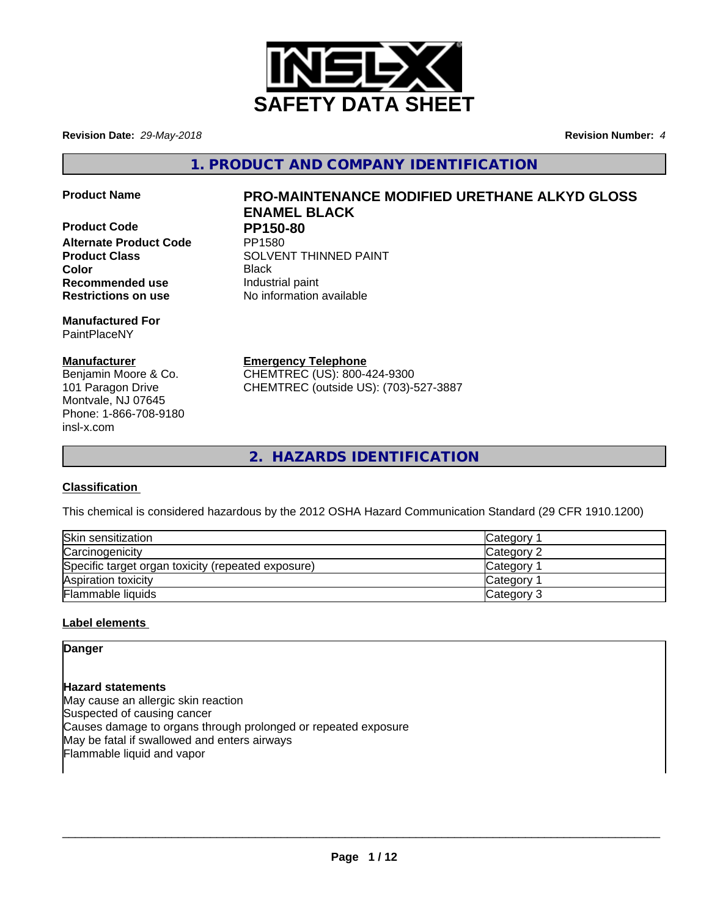

**Revision Date:** *29-May-2018* **Revision Number:** *4*

**1. PRODUCT AND COMPANY IDENTIFICATION**

**Product Code PP150-80 Alternate Product Code Recommended use Industrial paint Restrictions on use** No information available

**Manufactured For** PaintPlaceNY

### **Manufacturer**

Benjamin Moore & Co. 101 Paragon Drive Montvale, NJ 07645 Phone: 1-866-708-9180 insl-x.com

# **Product Name PRO-MAINTENANCE MODIFIED URETHANE ALKYD GLOSS ENAMEL BLACK**

**Product Class SOLVENT THINNED PAINT Color** Black

**Emergency Telephone**

CHEMTREC (US): 800-424-9300 CHEMTREC (outside US): (703)-527-3887

**2. HAZARDS IDENTIFICATION**

### **Classification**

This chemical is considered hazardous by the 2012 OSHA Hazard Communication Standard (29 CFR 1910.1200)

| Skin sensitization                                 | Category <sup>-</sup> |
|----------------------------------------------------|-----------------------|
| Carcinogenicity                                    | Category 2            |
| Specific target organ toxicity (repeated exposure) | Category              |
| Aspiration toxicity                                | Category              |
| <b>Flammable liquids</b>                           | Category 3            |

### **Label elements**

**Danger**

**Hazard statements** May cause an allergic skin reaction Suspected of causing cancer Causes damage to organs through prolonged or repeated exposure May be fatal if swallowed and enters airways Flammable liquid and vapor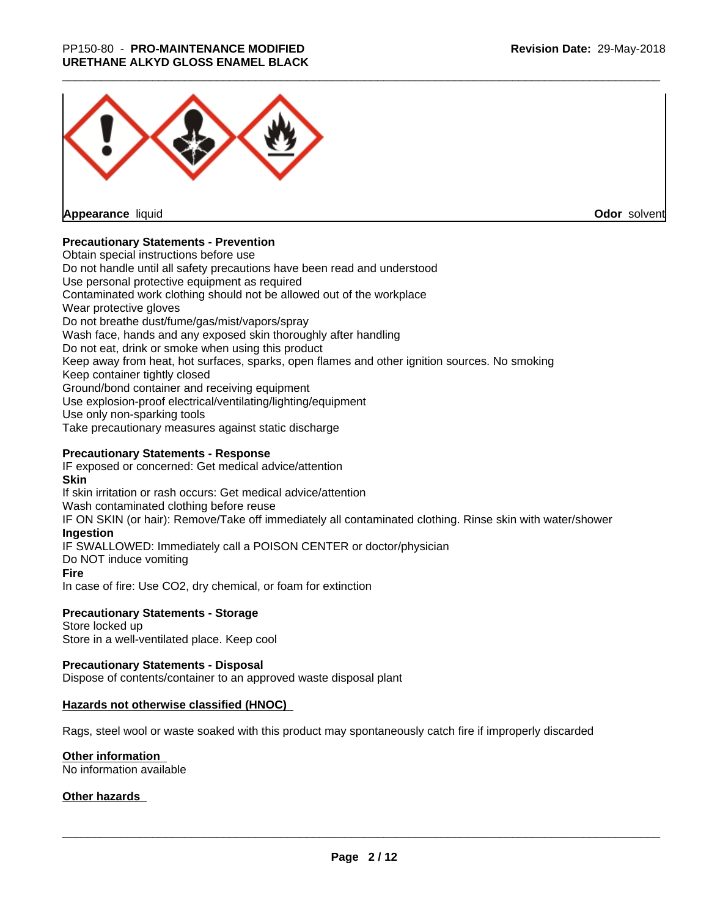

**Appearance** liquid

**Odor** solvent

### **Precautionary Statements - Prevention**

Obtain special instructions before use Do not handle until all safety precautions have been read and understood Use personal protective equipment as required Contaminated work clothing should not be allowed out of the workplace Wear protective gloves Do not breathe dust/fume/gas/mist/vapors/spray Wash face, hands and any exposed skin thoroughly after handling Do not eat, drink or smoke when using this product Keep away from heat, hot surfaces, sparks, open flames and other ignition sources. No smoking Keep container tightly closed Ground/bond container and receiving equipment Use explosion-proof electrical/ventilating/lighting/equipment Use only non-sparking tools Take precautionary measures against static discharge

### **Precautionary Statements - Response**

IF exposed or concerned: Get medical advice/attention **Skin** If skin irritation or rash occurs: Get medical advice/attention Wash contaminated clothing before reuse IF ON SKIN (or hair): Remove/Take off immediately all contaminated clothing. Rinse skin with water/shower **Ingestion** IF SWALLOWED: Immediately call a POISON CENTER or doctor/physician Do NOT induce vomiting **Fire** In case of fire: Use CO2, dry chemical, or foam for extinction

### **Precautionary Statements - Storage**

Store locked up Store in a well-ventilated place. Keep cool

### **Precautionary Statements - Disposal**

Dispose of contents/container to an approved waste disposal plant

### **Hazards not otherwise classified (HNOC)**

Rags, steel wool or waste soaked with this product may spontaneously catch fire if improperly discarded

### **Other information**

No information available

### **Other hazards**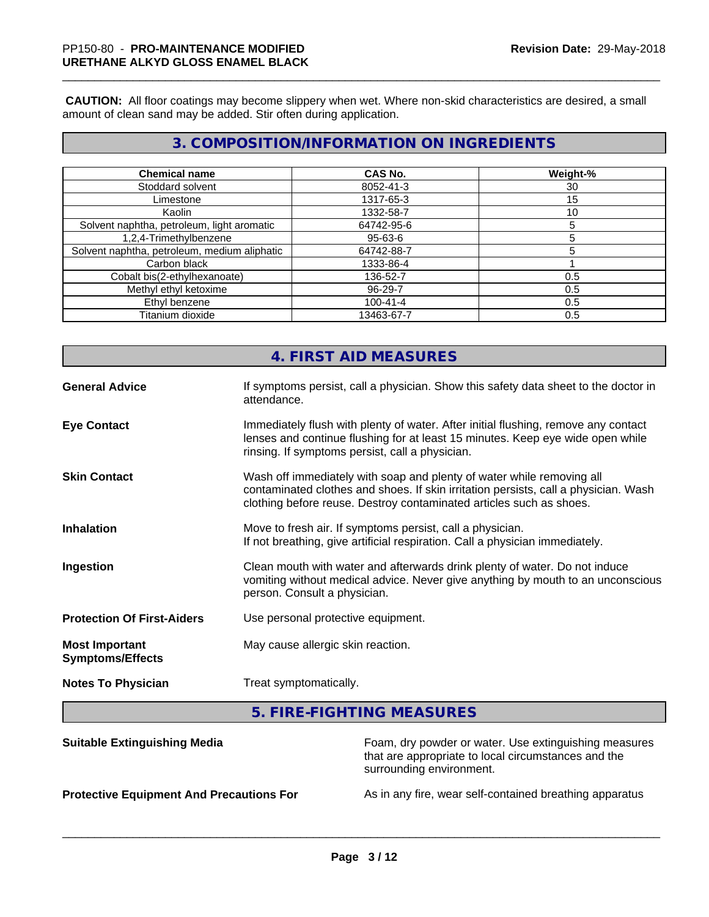**CAUTION:** All floor coatings may become slippery when wet. Where non-skid characteristics are desired, a small amount of clean sand may be added. Stir often during application.

## **3. COMPOSITION/INFORMATION ON INGREDIENTS**

| <b>Chemical name</b>                         | <b>CAS No.</b> | Weight-% |
|----------------------------------------------|----------------|----------|
| Stoddard solvent                             | 8052-41-3      | 30       |
| Limestone                                    | 1317-65-3      | 15       |
| Kaolin                                       | 1332-58-7      | 10       |
| Solvent naphtha, petroleum, light aromatic   | 64742-95-6     |          |
| 1,2,4-Trimethylbenzene                       | 95-63-6        |          |
| Solvent naphtha, petroleum, medium aliphatic | 64742-88-7     |          |
| Carbon black                                 | 1333-86-4      |          |
| Cobalt bis(2-ethylhexanoate)                 | 136-52-7       | 0.5      |
| Methyl ethyl ketoxime                        | $96 - 29 - 7$  | 0.5      |
| Ethyl benzene                                | $100 - 41 - 4$ | 0.5      |
| Titanium dioxide                             | 13463-67-7     | 0.5      |

|                                                  | 4. FIRST AID MEASURES                                                                                                                                                                                                               |
|--------------------------------------------------|-------------------------------------------------------------------------------------------------------------------------------------------------------------------------------------------------------------------------------------|
| <b>General Advice</b>                            | If symptoms persist, call a physician. Show this safety data sheet to the doctor in<br>attendance.                                                                                                                                  |
| <b>Eye Contact</b>                               | Immediately flush with plenty of water. After initial flushing, remove any contact<br>lenses and continue flushing for at least 15 minutes. Keep eye wide open while<br>rinsing. If symptoms persist, call a physician.             |
| <b>Skin Contact</b>                              | Wash off immediately with soap and plenty of water while removing all<br>contaminated clothes and shoes. If skin irritation persists, call a physician. Wash<br>clothing before reuse. Destroy contaminated articles such as shoes. |
| <b>Inhalation</b>                                | Move to fresh air. If symptoms persist, call a physician.<br>If not breathing, give artificial respiration. Call a physician immediately.                                                                                           |
| Ingestion                                        | Clean mouth with water and afterwards drink plenty of water. Do not induce<br>vomiting without medical advice. Never give anything by mouth to an unconscious<br>person. Consult a physician.                                       |
| <b>Protection Of First-Aiders</b>                | Use personal protective equipment.                                                                                                                                                                                                  |
| <b>Most Important</b><br><b>Symptoms/Effects</b> | May cause allergic skin reaction.                                                                                                                                                                                                   |
| <b>Notes To Physician</b>                        | Treat symptomatically.                                                                                                                                                                                                              |
|                                                  |                                                                                                                                                                                                                                     |

**5. FIRE-FIGHTING MEASURES**

| <b>Suitable Extinguishing Media</b>             | Foam, dry powder or water. Use extinguishing measures<br>that are appropriate to local circumstances and the<br>surrounding environment. |
|-------------------------------------------------|------------------------------------------------------------------------------------------------------------------------------------------|
| <b>Protective Equipment And Precautions For</b> | As in any fire, wear self-contained breathing apparatus                                                                                  |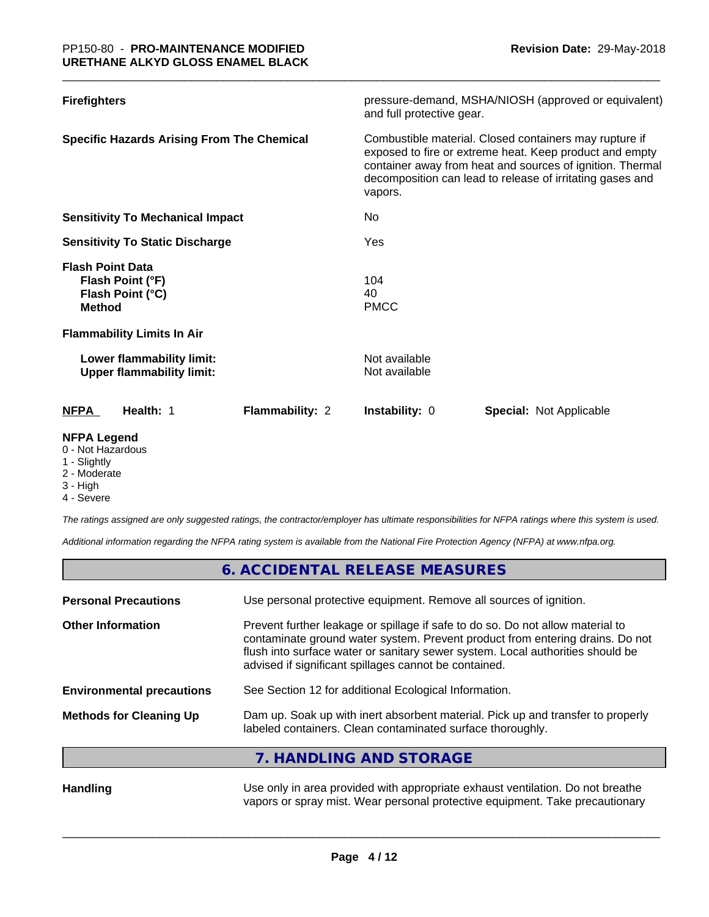| <b>Firefighters</b>                                                              | pressure-demand, MSHA/NIOSH (approved or equivalent)<br>and full protective gear.                                                                                                                                                                      |
|----------------------------------------------------------------------------------|--------------------------------------------------------------------------------------------------------------------------------------------------------------------------------------------------------------------------------------------------------|
| <b>Specific Hazards Arising From The Chemical</b>                                | Combustible material. Closed containers may rupture if<br>exposed to fire or extreme heat. Keep product and empty<br>container away from heat and sources of ignition. Thermal<br>decomposition can lead to release of irritating gases and<br>vapors. |
| <b>Sensitivity To Mechanical Impact</b>                                          | No                                                                                                                                                                                                                                                     |
| <b>Sensitivity To Static Discharge</b>                                           | Yes                                                                                                                                                                                                                                                    |
| <b>Flash Point Data</b><br>Flash Point (°F)<br>Flash Point (°C)<br><b>Method</b> | 104<br>40<br><b>PMCC</b>                                                                                                                                                                                                                               |
| <b>Flammability Limits In Air</b>                                                |                                                                                                                                                                                                                                                        |
| Lower flammability limit:<br><b>Upper flammability limit:</b>                    | Not available<br>Not available                                                                                                                                                                                                                         |
| Flammability: 2<br><b>NFPA</b><br>Health: 1                                      | Special: Not Applicable<br><b>Instability: 0</b>                                                                                                                                                                                                       |
| <b>NFPA Legend</b>                                                               |                                                                                                                                                                                                                                                        |

- 0 Not Hazardous
- 1 Slightly
- 2 Moderate
- 3 High

г

4 - Severe

*The ratings assigned are only suggested ratings, the contractor/employer has ultimate responsibilities for NFPA ratings where this system is used.*

*Additional information regarding the NFPA rating system is available from the National Fire Protection Agency (NFPA) at www.nfpa.org.*

|                                  | 6. ACCIDENTAL RELEASE MEASURES                                                                                                                                                                                                                                                                             |
|----------------------------------|------------------------------------------------------------------------------------------------------------------------------------------------------------------------------------------------------------------------------------------------------------------------------------------------------------|
| <b>Personal Precautions</b>      | Use personal protective equipment. Remove all sources of ignition.                                                                                                                                                                                                                                         |
| <b>Other Information</b>         | Prevent further leakage or spillage if safe to do so. Do not allow material to<br>contaminate ground water system. Prevent product from entering drains. Do not<br>flush into surface water or sanitary sewer system. Local authorities should be<br>advised if significant spillages cannot be contained. |
| <b>Environmental precautions</b> | See Section 12 for additional Ecological Information.                                                                                                                                                                                                                                                      |
| <b>Methods for Cleaning Up</b>   | Dam up. Soak up with inert absorbent material. Pick up and transfer to properly<br>labeled containers. Clean contaminated surface thoroughly.                                                                                                                                                              |
|                                  | 7. HANDLING AND STORAGE                                                                                                                                                                                                                                                                                    |
| <b>Handling</b>                  | Use only in area provided with appropriate exhaust ventilation. Do not breathe                                                                                                                                                                                                                             |

vapors or spray mist. Wear personal protective equipment. Take precautionary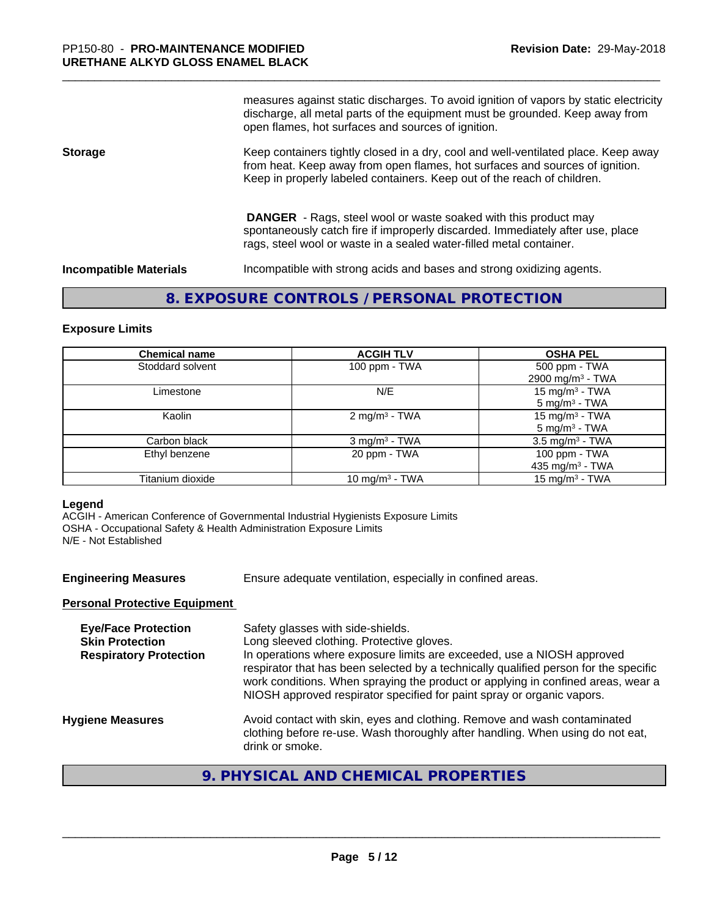measures against static discharges. To avoid ignition of vapors by static electricity discharge, all metal parts of the equipment must be grounded. Keep away from open flames, hot surfaces and sources of ignition.

#### **Storage** Keep containers tightly closed in a dry, cool and well-ventilated place. Keep away from heat. Keep away from open flames, hot surfaces and sources of ignition. Keep in properly labeled containers. Keep out of the reach of children.

 **DANGER** - Rags, steel wool or waste soaked with this product may spontaneously catch fire if improperly discarded. Immediately after use, place rags, steel wool or waste in a sealed water-filled metal container.

**Incompatible Materials** Incompatible with strong acids and bases and strong oxidizing agents.

### **8. EXPOSURE CONTROLS / PERSONAL PROTECTION**

#### **Exposure Limits**

| <b>Chemical name</b> | <b>ACGIH TLV</b>            | <b>OSHA PEL</b>                               |
|----------------------|-----------------------------|-----------------------------------------------|
| Stoddard solvent     | 100 ppm - TWA               | 500 ppm - TWA<br>2900 mg/m <sup>3</sup> - TWA |
| Limestone            | N/E                         | 15 mg/m $3$ - TWA<br>$5 \text{ mg/m}^3$ - TWA |
| Kaolin               | 2 mg/m <sup>3</sup> - TWA   | 15 mg/m $3$ - TWA<br>$5 \text{ mg/m}^3$ - TWA |
| Carbon black         | $3$ mg/m <sup>3</sup> - TWA | $3.5 \text{ mg/m}^3$ - TWA                    |
| Ethyl benzene        | 20 ppm - TWA                | 100 ppm - TWA<br>435 mg/m $3$ - TWA           |
| Titanium dioxide     | 10 mg/m <sup>3</sup> - TWA  | 15 mg/m $3$ - TWA                             |

#### **Legend**

ACGIH - American Conference of Governmental Industrial Hygienists Exposure Limits OSHA - Occupational Safety & Health Administration Exposure Limits N/E - Not Established

**Engineering Measures** Ensure adequate ventilation, especially in confined areas.

### **Personal Protective Equipment**

| <b>Eye/Face Protection</b><br><b>Skin Protection</b><br><b>Respiratory Protection</b> | Safety glasses with side-shields.<br>Long sleeved clothing. Protective gloves.<br>In operations where exposure limits are exceeded, use a NIOSH approved<br>respirator that has been selected by a technically qualified person for the specific<br>work conditions. When spraying the product or applying in confined areas, wear a<br>NIOSH approved respirator specified for paint spray or organic vapors. |
|---------------------------------------------------------------------------------------|----------------------------------------------------------------------------------------------------------------------------------------------------------------------------------------------------------------------------------------------------------------------------------------------------------------------------------------------------------------------------------------------------------------|
| <b>Hygiene Measures</b>                                                               | Avoid contact with skin, eyes and clothing. Remove and wash contaminated<br>clothing before re-use. Wash thoroughly after handling. When using do not eat,<br>drink or smoke.                                                                                                                                                                                                                                  |
|                                                                                       |                                                                                                                                                                                                                                                                                                                                                                                                                |

## **9. PHYSICAL AND CHEMICAL PROPERTIES**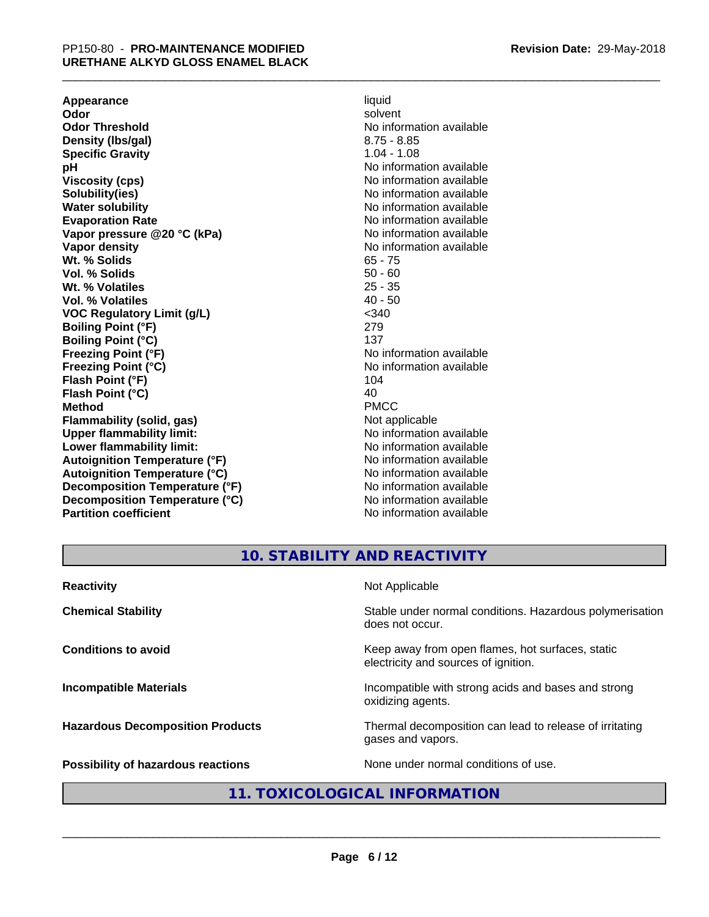**Appearance** liquid and **a liquid liquid liquid** by the liquid liquid liquid solvent **Odor** solvent **Odor Threshold** No information available **Density (lbs/gal)** 8.75 - 8.85 **Specific Gravity** 1.04 - 1.08<br>**pH** No informa **Viscosity (cps)** No information available **Solubility(ies)** No information available in the solution of the solution of the solution available in the solution of the solution of the solution of the solution of the solution of the solution of the solution of the so **Water solubility** No information available **Evaporation Rate No information available No information available Vapor pressure @20 °C (kPa)** No information available **Vapor density No information available No** information available **Wt. % Solids** 65 - 75<br> **Vol. % Solids** 65 - 76 **Vol. % Solids** 50 - 60<br> **Wt. % Volatiles** 25 - 35 Wt. % Volatiles **Vol. % Volatiles** 40 - 50 **VOC Regulatory Limit (g/L)** <340 **Boiling Point (°F)** 279 **Boiling Point (°C)** 137<br> **Preezing Point (°F)** No interval 137 **Freezing Point (°C)** The state of the Monometer of Noinformation available **Flash Point (°F)** 104 **Flash Point (°C)** 40 **Method** PMCC **Flammability (solid, gas)** Not applicable **Upper flammability limit:** No information available **Lower flammability limit:** No information available **Lower** flammability limit: **Autoignition Temperature (°F)** No information available **Autoignition Temperature (°C)** No information available **Decomposition Temperature (°F)** No information available **Decomposition Temperature (°C)** No information available **Partition coefficient** No information available

**No information available No information available** 

## **10. STABILITY AND REACTIVITY**

| <b>Reactivity</b>                       | Not Applicable                                                                           |
|-----------------------------------------|------------------------------------------------------------------------------------------|
| <b>Chemical Stability</b>               | Stable under normal conditions. Hazardous polymerisation<br>does not occur.              |
| <b>Conditions to avoid</b>              | Keep away from open flames, hot surfaces, static<br>electricity and sources of ignition. |
| <b>Incompatible Materials</b>           | Incompatible with strong acids and bases and strong<br>oxidizing agents.                 |
| <b>Hazardous Decomposition Products</b> | Thermal decomposition can lead to release of irritating<br>gases and vapors.             |
| Possibility of hazardous reactions      | None under normal conditions of use.                                                     |

## **11. TOXICOLOGICAL INFORMATION**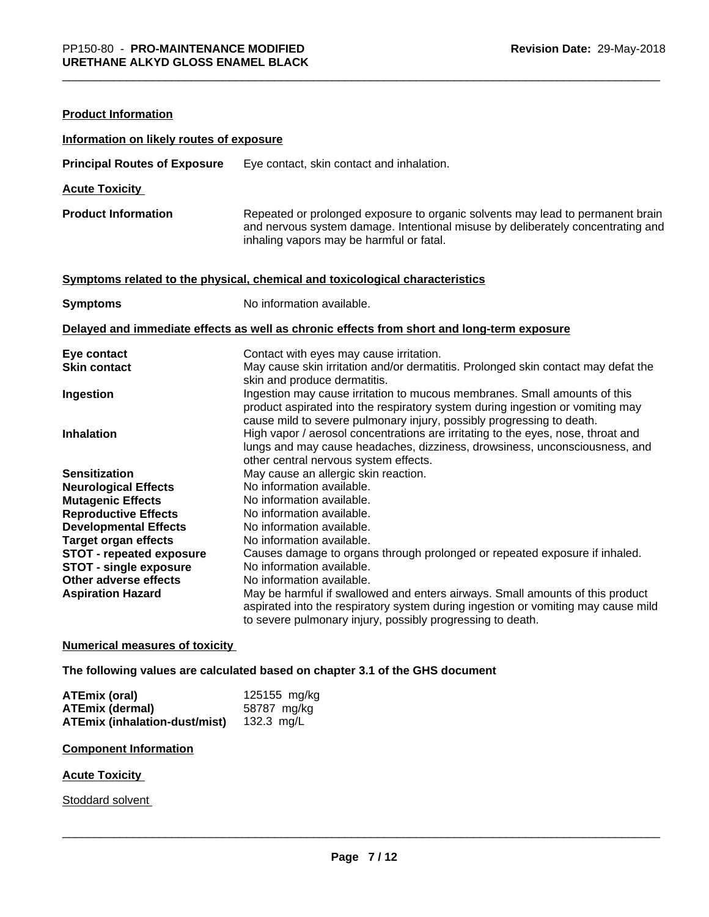| <b>Product Information</b>                             |                                                                                                                                                                                                                                      |
|--------------------------------------------------------|--------------------------------------------------------------------------------------------------------------------------------------------------------------------------------------------------------------------------------------|
| Information on likely routes of exposure               |                                                                                                                                                                                                                                      |
| <b>Principal Routes of Exposure</b>                    | Eye contact, skin contact and inhalation.                                                                                                                                                                                            |
| <b>Acute Toxicity</b>                                  |                                                                                                                                                                                                                                      |
| <b>Product Information</b>                             | Repeated or prolonged exposure to organic solvents may lead to permanent brain<br>and nervous system damage. Intentional misuse by deliberately concentrating and<br>inhaling vapors may be harmful or fatal.                        |
|                                                        | Symptoms related to the physical, chemical and toxicological characteristics                                                                                                                                                         |
| <b>Symptoms</b>                                        | No information available.                                                                                                                                                                                                            |
|                                                        | Delayed and immediate effects as well as chronic effects from short and long-term exposure                                                                                                                                           |
| Eye contact                                            | Contact with eyes may cause irritation.                                                                                                                                                                                              |
| <b>Skin contact</b>                                    | May cause skin irritation and/or dermatitis. Prolonged skin contact may defat the<br>skin and produce dermatitis.                                                                                                                    |
| Ingestion                                              | Ingestion may cause irritation to mucous membranes. Small amounts of this<br>product aspirated into the respiratory system during ingestion or vomiting may<br>cause mild to severe pulmonary injury, possibly progressing to death. |
| <b>Inhalation</b>                                      | High vapor / aerosol concentrations are irritating to the eyes, nose, throat and<br>lungs and may cause headaches, dizziness, drowsiness, unconsciousness, and<br>other central nervous system effects.                              |
| <b>Sensitization</b>                                   | May cause an allergic skin reaction.                                                                                                                                                                                                 |
| <b>Neurological Effects</b>                            | No information available.                                                                                                                                                                                                            |
| <b>Mutagenic Effects</b>                               | No information available.                                                                                                                                                                                                            |
| <b>Reproductive Effects</b>                            | No information available.                                                                                                                                                                                                            |
| <b>Developmental Effects</b>                           | No information available.                                                                                                                                                                                                            |
| <b>Target organ effects</b>                            | No information available.                                                                                                                                                                                                            |
| STOT - repeated exposure                               | Causes damage to organs through prolonged or repeated exposure if inhaled.                                                                                                                                                           |
| <b>STOT - single exposure</b><br>Other adverse effects | No information available.<br>No information available.                                                                                                                                                                               |
| <b>Aspiration Hazard</b>                               | May be harmful if swallowed and enters airways. Small amounts of this product                                                                                                                                                        |
|                                                        | aspirated into the respiratory system during ingestion or vomiting may cause mild<br>to severe pulmonary injury, possibly progressing to death.                                                                                      |

### **Numerical measures of toxicity**

**The following values are calculated based on chapter 3.1 of the GHS document**

| ATEmix (oral)                        | 125155 mg/kg |
|--------------------------------------|--------------|
| <b>ATEmix (dermal)</b>               | 58787 mg/kg  |
| <b>ATEmix (inhalation-dust/mist)</b> | 132.3 $mg/L$ |

#### **Component Information**

### **Acute Toxicity**

Stoddard solvent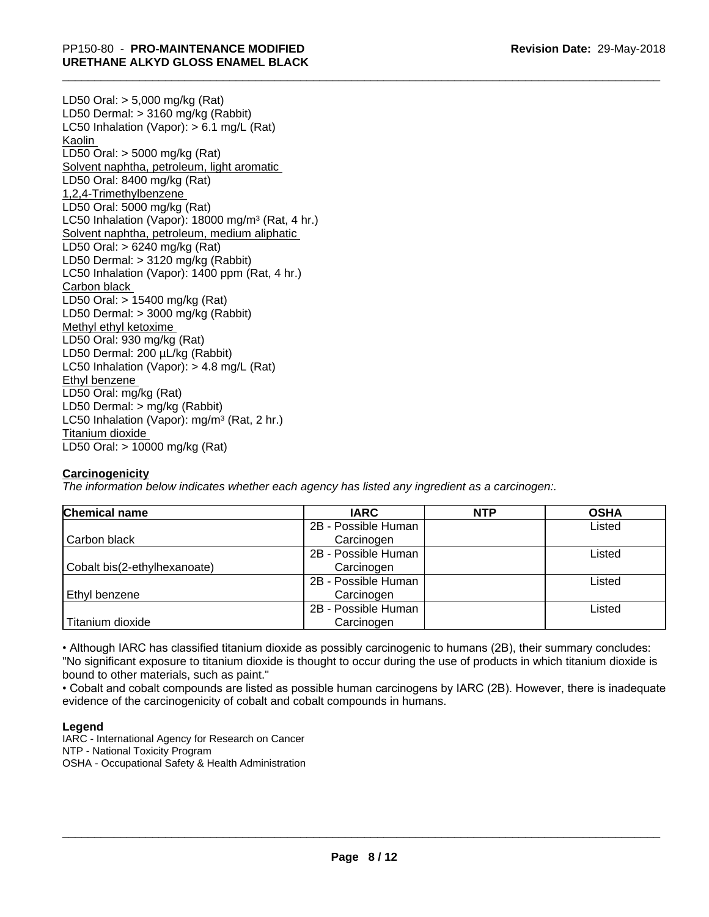LD50 Oral: > 5,000 mg/kg (Rat) LD50 Dermal: > 3160 mg/kg (Rabbit) LC50 Inhalation (Vapor): > 6.1 mg/L (Rat) Kaolin LD50 Oral: > 5000 mg/kg (Rat) Solvent naphtha, petroleum, light aromatic LD50 Oral: 8400 mg/kg (Rat) 1,2,4-Trimethylbenzene LD50 Oral: 5000 mg/kg (Rat) LC50 Inhalation (Vapor): 18000 mg/m<sup>3</sup> (Rat, 4 hr.) Solvent naphtha, petroleum, medium aliphatic LD50 Oral: > 6240 mg/kg (Rat) LD50 Dermal: > 3120 mg/kg (Rabbit) LC50 Inhalation (Vapor): 1400 ppm (Rat, 4 hr.) Carbon black LD50 Oral: > 15400 mg/kg (Rat) LD50 Dermal: > 3000 mg/kg (Rabbit) Methyl ethyl ketoxime LD50 Oral: 930 mg/kg (Rat) LD50 Dermal: 200 µL/kg (Rabbit) LC50 Inhalation (Vapor): > 4.8 mg/L (Rat) Ethyl benzene LD50 Oral: mg/kg (Rat) LD50 Dermal: > mg/kg (Rabbit) LC50 Inhalation (Vapor): mg/m<sup>3</sup> (Rat, 2 hr.) Titanium dioxide LD50 Oral: > 10000 mg/kg (Rat)

### **Carcinogenicity**

*The information below indicateswhether each agency has listed any ingredient as a carcinogen:.*

| <b>Chemical name</b>         | <b>IARC</b>         | <b>NTP</b> | <b>OSHA</b> |
|------------------------------|---------------------|------------|-------------|
|                              | 2B - Possible Human |            | Listed      |
| Carbon black                 | Carcinogen          |            |             |
|                              | 2B - Possible Human |            | Listed      |
| Cobalt bis(2-ethylhexanoate) | Carcinogen          |            |             |
|                              | 2B - Possible Human |            | Listed      |
| Ethyl benzene                | Carcinogen          |            |             |
|                              | 2B - Possible Human |            | Listed      |
| Titanium dioxide             | Carcinogen          |            |             |

• Although IARC has classified titanium dioxide as possibly carcinogenic to humans (2B), their summary concludes: "No significant exposure to titanium dioxide is thought to occur during the use of products in which titanium dioxide is bound to other materials, such as paint."

• Cobalt and cobalt compounds are listed as possible human carcinogens by IARC (2B). However, there is inadequate evidence of the carcinogenicity of cobalt and cobalt compounds in humans.

### **Legend**

IARC - International Agency for Research on Cancer NTP - National Toxicity Program OSHA - Occupational Safety & Health Administration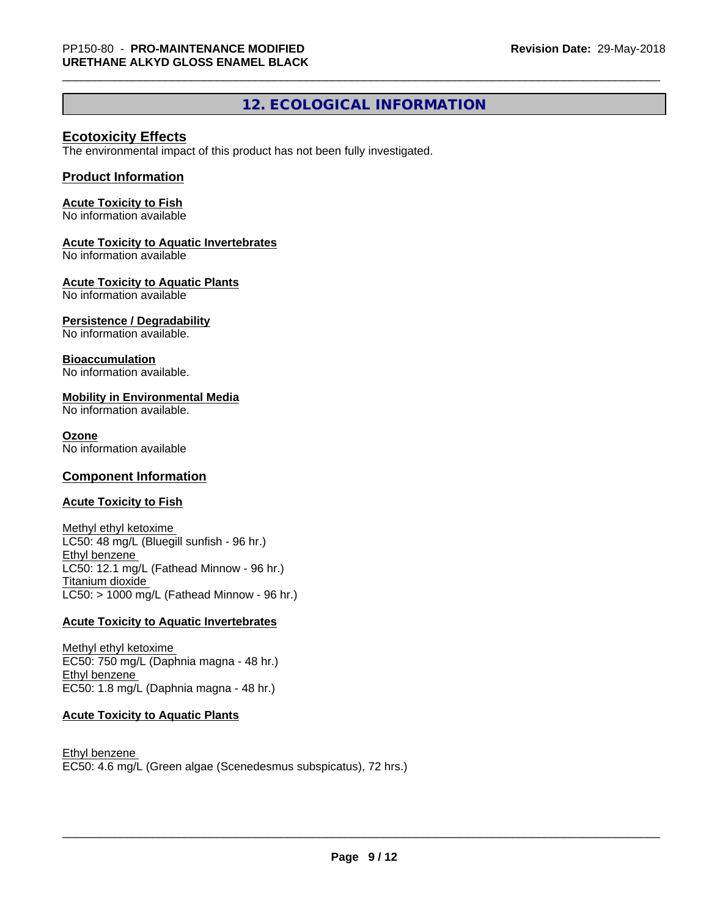## **12. ECOLOGICAL INFORMATION**

### **Ecotoxicity Effects**

The environmental impact of this product has not been fully investigated.

### **Product Information**

### **Acute Toxicity to Fish**

No information available

### **Acute Toxicity to Aquatic Invertebrates**

No information available

### **Acute Toxicity to Aquatic Plants**

No information available

### **Persistence / Degradability**

No information available.

### **Bioaccumulation**

No information available.

### **Mobility in Environmental Media**

No information available.

### **Ozone**

No information available

### **Component Information**

### **Acute Toxicity to Fish**

Methyl ethyl ketoxime LC50: 48 mg/L (Bluegill sunfish - 96 hr.) Ethyl benzene LC50: 12.1 mg/L (Fathead Minnow - 96 hr.) Titanium dioxide  $LC50:$  > 1000 mg/L (Fathead Minnow - 96 hr.)

### **Acute Toxicity to Aquatic Invertebrates**

Methyl ethyl ketoxime EC50: 750 mg/L (Daphnia magna - 48 hr.) Ethyl benzene EC50: 1.8 mg/L (Daphnia magna - 48 hr.)

### **Acute Toxicity to Aquatic Plants**

Ethyl benzene EC50: 4.6 mg/L (Green algae (Scenedesmus subspicatus), 72 hrs.)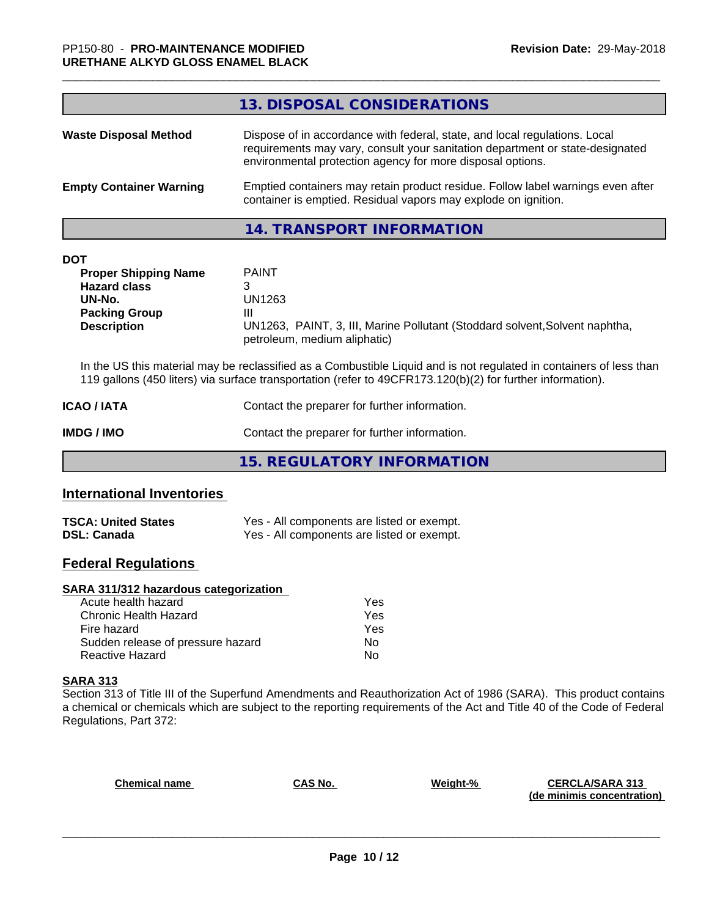| <b>TSCA: United States</b> | Yes - All components are listed or exempt. |
|----------------------------|--------------------------------------------|
| <b>DSL: Canada</b>         | Yes - All components are listed or exempt. |

## **Federal Regulations**

### **SARA 311/312 hazardous categorization**

| Acute health hazard               | Yes |
|-----------------------------------|-----|
| Chronic Health Hazard             | Yes |
| Fire hazard                       | Yes |
| Sudden release of pressure hazard | Nο  |
| Reactive Hazard                   | N٥  |

## **SARA 313**

Section 313 of Title III of the Superfund Amendments and Reauthorization Act of 1986 (SARA). This product contains a chemical or chemicals which are subject to the reporting requirements of the Act and Title 40 of the Code of Federal Regulations, Part 372:

| <b>Chemical name</b> | CAS No. | Weight-% | <b>CERCLA/SARA 313</b><br>(de minimis concentration) |
|----------------------|---------|----------|------------------------------------------------------|
|                      |         |          |                                                      |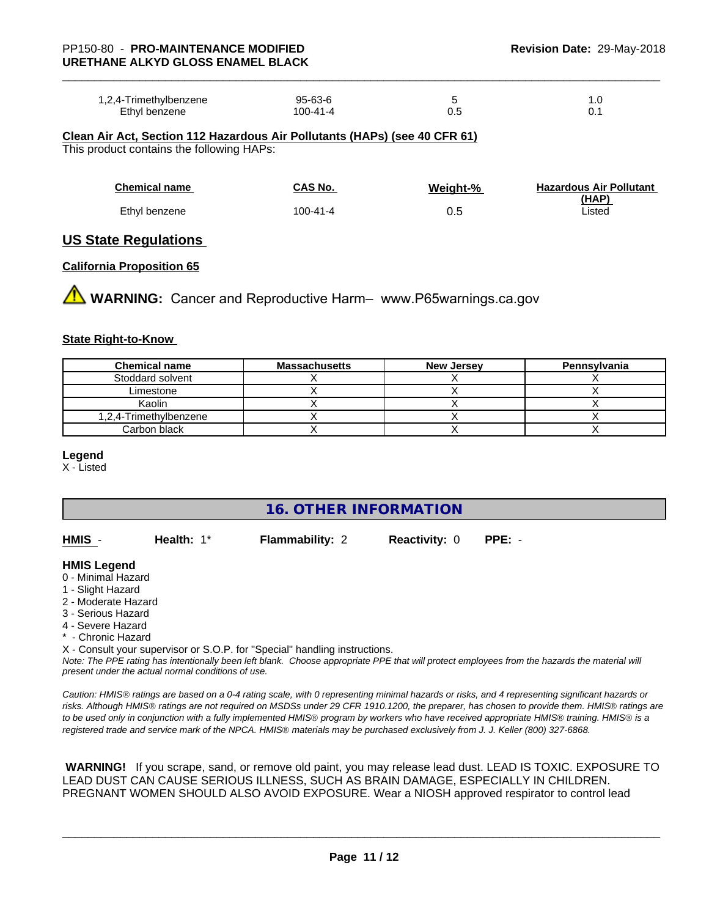| 1,2,4-Trimethylbenzene | $95 - 63 - 6$ |     |       |  |
|------------------------|---------------|-----|-------|--|
|                        |               |     | . . ب |  |
| Ethyl benzene          | 100-41-4      | ∪.⊾ |       |  |

**Clean Air Act,Section 112 Hazardous Air Pollutants (HAPs) (see 40 CFR 61)** This product contains the following HAPs:

| <b>Chemical name</b> | CAS No.  | Weight-% | <b>Hazardous Air Pollutant</b><br>(HAP) |
|----------------------|----------|----------|-----------------------------------------|
| Ethyl benzene        | 100-41-4 | 0.5      | Listed                                  |

### **US State Regulations**

#### **California Proposition 65**

**AN** WARNING: Cancer and Reproductive Harm– www.P65warnings.ca.gov

#### **State Right-to-Know**

| <b>Chemical name</b>   | <b>Massachusetts</b> | <b>New Jersey</b> | Pennsylvania |
|------------------------|----------------------|-------------------|--------------|
| Stoddard solvent       |                      |                   |              |
| Limestone              |                      |                   |              |
| Kaolin                 |                      |                   |              |
| 1,2,4-Trimethylbenzene |                      |                   |              |
| Carbon black           |                      |                   |              |

#### **Legend**

X - Listed

## **16. OTHER INFORMATION**

| HMIS | Health: $1^*$ | <b>Flammability: 2</b> | <b>Reactivity: 0 PPE: -</b> |  |
|------|---------------|------------------------|-----------------------------|--|
|      |               |                        |                             |  |

### **HMIS Legend**

- 0 Minimal Hazard
- 1 Slight Hazard
- 2 Moderate Hazard
- 3 Serious Hazard
- 4 Severe Hazard
- \* Chronic Hazard

X - Consult your supervisor or S.O.P. for "Special" handling instructions.

*Note: The PPE rating has intentionally been left blank. Choose appropriate PPE that will protect employees from the hazards the material will present under the actual normal conditions of use.*

*Caution: HMISÒ ratings are based on a 0-4 rating scale, with 0 representing minimal hazards or risks, and 4 representing significant hazards or risks. Although HMISÒ ratings are not required on MSDSs under 29 CFR 1910.1200, the preparer, has chosen to provide them. HMISÒ ratings are to be used only in conjunction with a fully implemented HMISÒ program by workers who have received appropriate HMISÒ training. HMISÒ is a registered trade and service mark of the NPCA. HMISÒ materials may be purchased exclusively from J. J. Keller (800) 327-6868.*

 **WARNING!** If you scrape, sand, or remove old paint, you may release lead dust. LEAD IS TOXIC. EXPOSURE TO LEAD DUST CAN CAUSE SERIOUS ILLNESS, SUCH AS BRAIN DAMAGE, ESPECIALLY IN CHILDREN. PREGNANT WOMEN SHOULD ALSO AVOID EXPOSURE.Wear a NIOSH approved respirator to control lead